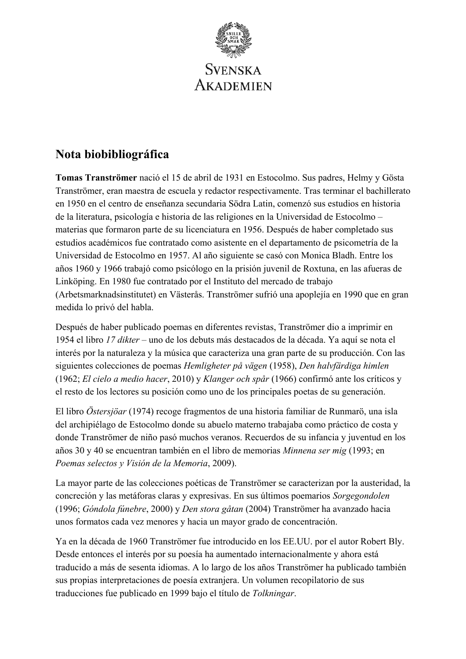

# **Nota biobibliográfica**

**Tomas Tranströmer** nació el 15 de abril de 1931 en Estocolmo. Sus padres, Helmy y Gösta Tranströmer, eran maestra de escuela y redactor respectivamente. Tras terminar el bachillerato en 1950 en el centro de enseñanza secundaria Södra Latin, comenzó sus estudios en historia de la literatura, psicología e historia de las religiones en la Universidad de Estocolmo – materias que formaron parte de su licenciatura en 1956. Después de haber completado sus estudios académicos fue contratado como asistente en el departamento de psicometría de la Universidad de Estocolmo en 1957. Al año siguiente se casó con Monica Bladh. Entre los años 1960 y 1966 trabajó como psicólogo en la prisión juvenil de Roxtuna, en las afueras de Linköping. En 1980 fue contratado por el Instituto del mercado de trabajo (Arbetsmarknadsinstitutet) en Västerås. Tranströmer sufrió una apoplejía en 1990 que en gran medida lo privó del habla.

Después de haber publicado poemas en diferentes revistas, Tranströmer dio a imprimir en 1954 el libro *17 dikter* – uno de los debuts más destacados de la década. Ya aquí se nota el interés por la naturaleza y la música que caracteriza una gran parte de su producción. Con las siguientes colecciones de poemas *Hemligheter på vägen* (1958), *Den halvfärdiga himlen* (1962; *El cielo a medio hacer*, 2010) y *Klanger och spår* (1966) confirmó ante los críticos y el resto de los lectores su posición como uno de los principales poetas de su generación.

El libro *Östersjöar* (1974) recoge fragmentos de una historia familiar de Runmarö, una isla del archipiélago de Estocolmo donde su abuelo materno trabajaba como práctico de costa y donde Tranströmer de niño pasó muchos veranos. Recuerdos de su infancia y juventud en los años 30 y 40 se encuentran también en el libro de memorias *Minnena ser mig* (1993; en *Poemas selectos y Visión de la Memoria*, 2009).

La mayor parte de las colecciones poéticas de Tranströmer se caracterizan por la austeridad, la concreción y las metáforas claras y expresivas. En sus últimos poemarios *Sorgegondolen*  (1996; *Góndola fúnebre*, 2000) y *Den stora gåtan* (2004) Tranströmer ha avanzado hacia unos formatos cada vez menores y hacia un mayor grado de concentración.

Ya en la década de 1960 Tranströmer fue introducido en los EE.UU. por el autor Robert Bly. Desde entonces el interés por su poesía ha aumentado internacionalmente y ahora está traducido a más de sesenta idiomas. A lo largo de los años Tranströmer ha publicado también sus propias interpretaciones de poesía extranjera. Un volumen recopilatorio de sus traducciones fue publicado en 1999 bajo el título de *Tolkningar*.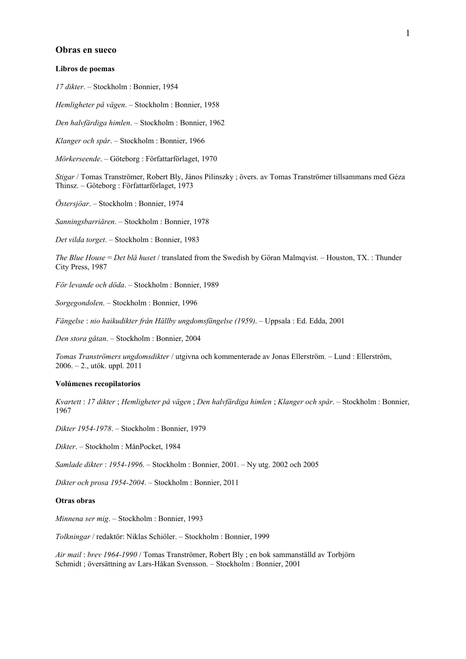#### **Obras en sueco**

#### **Libros de poemas**

*17 dikter*. – Stockholm : Bonnier, 1954

*Hemligheter på vägen*. – Stockholm : Bonnier, 1958

*Den halvfärdiga himlen*. – Stockholm : Bonnier, 1962

*Klanger och spår*. – Stockholm : Bonnier, 1966

*Mörkerseende*. – Göteborg : Författarförlaget, 1970

*Stigar* / Tomas Tranströmer, Robert Bly, János Pilinszky ; övers. av Tomas Tranströmer tillsammans med Géza Thinsz. – Göteborg : Författarförlaget, 1973

*Östersjöar*. – Stockholm : Bonnier, 1974

*Sanningsbarriären*. – Stockholm : Bonnier, 1978

*Det vilda torget*. – Stockholm : Bonnier, 1983

*The Blue House* = *Det blå huset* / translated from the Swedish by Göran Malmqvist. – Houston, TX. : Thunder City Press, 1987

*För levande och döda*. – Stockholm : Bonnier, 1989

*Sorgegondolen*. – Stockholm : Bonnier, 1996

*Fängelse* : *nio haikudikter från Hällby ungdomsfängelse (1959)*. – Uppsala : Ed. Edda, 2001

*Den stora gåtan*. – Stockholm : Bonnier, 2004

*Tomas Tranströmers ungdomsdikter* / utgivna och kommenterade av Jonas Ellerström. – Lund : Ellerström, 2006. – 2., utök. uppl. 2011

#### **Volúmenes recopilatorios**

*Kvartett* : *17 dikter* ; *Hemligheter på vägen* ; *Den halvfärdiga himlen* ; *Klanger och spår*. – Stockholm : Bonnier, 1967

*Dikter 1954-1978*. – Stockholm : Bonnier, 1979

*Dikter*. – Stockholm : MånPocket, 1984

*Samlade dikter* : *1954-1996*. – Stockholm : Bonnier, 2001. – Ny utg. 2002 och 2005

*Dikter och prosa 1954-2004*. – Stockholm : Bonnier, 2011

## **Otras obras**

*Minnena ser mig*. – Stockholm : Bonnier, 1993

*Tolkningar* / redaktör: Niklas Schiöler. – Stockholm : Bonnier, 1999

*Air mail* : *brev 1964-1990* / Tomas Tranströmer, Robert Bly ; en bok sammanställd av Torbjörn Schmidt ; översättning av Lars-Håkan Svensson. – Stockholm : Bonnier, 2001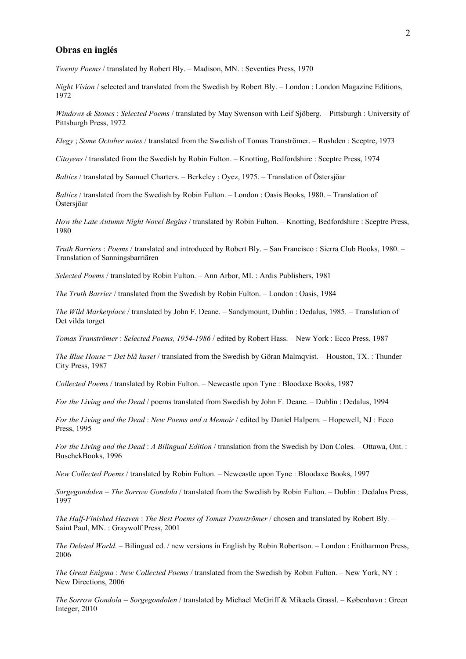### **Obras en inglés**

*Twenty Poems* / translated by Robert Bly. – Madison, MN. : Seventies Press, 1970

*Night Vision* / selected and translated from the Swedish by Robert Bly. – London : London Magazine Editions, 1972

*Windows & Stones* : *Selected Poems* / translated by May Swenson with Leif Sjöberg. – Pittsburgh : University of Pittsburgh Press, 1972

*Elegy* ; *Some October notes* / translated from the Swedish of Tomas Tranströmer. – Rushden : Sceptre, 1973

*Citoyens* / translated from the Swedish by Robin Fulton. – Knotting, Bedfordshire : Sceptre Press, 1974

*Baltics* / translated by Samuel Charters. – Berkeley : Oyez, 1975. – Translation of Östersjöar

*Baltics* / translated from the Swedish by Robin Fulton. – London : Oasis Books, 1980. – Translation of Östersjöar

*How the Late Autumn Night Novel Begins* / translated by Robin Fulton. – Knotting, Bedfordshire : Sceptre Press, 1980

*Truth Barriers* : *Poems* / translated and introduced by Robert Bly. – San Francisco : Sierra Club Books, 1980. – Translation of Sanningsbarriären

*Selected Poems* / translated by Robin Fulton. – Ann Arbor, MI. : Ardis Publishers, 1981

*The Truth Barrier* / translated from the Swedish by Robin Fulton. – London : Oasis, 1984

*The Wild Marketplace* / translated by John F. Deane. – Sandymount, Dublin : Dedalus, 1985. – Translation of Det vilda torget

*Tomas Tranströmer* : *Selected Poems, 1954-1986* / edited by Robert Hass. – New York : Ecco Press, 1987

*The Blue House* = *Det blå huset* / translated from the Swedish by Göran Malmqvist. – Houston, TX. : Thunder City Press, 1987

*Collected Poems* / translated by Robin Fulton. – Newcastle upon Tyne : Bloodaxe Books, 1987

*For the Living and the Dead* / poems translated from Swedish by John F. Deane. – Dublin : Dedalus, 1994

*For the Living and the Dead* : *New Poems and a Memoir* / edited by Daniel Halpern. – Hopewell, NJ : Ecco Press, 1995

*For the Living and the Dead* : *A Bilingual Edition* / translation from the Swedish by Don Coles. – Ottawa, Ont. : BuschekBooks, 1996

*New Collected Poems* / translated by Robin Fulton. – Newcastle upon Tyne : Bloodaxe Books, 1997

*Sorgegondolen* = *The Sorrow Gondola* / translated from the Swedish by Robin Fulton. – Dublin : Dedalus Press, 1997

*The Half-Finished Heaven* : *The Best Poems of Tomas Tranströmer* / chosen and translated by Robert Bly. – Saint Paul, MN. : Graywolf Press, 2001

*The Deleted World*. – Bilingual ed. / new versions in English by Robin Robertson. – London : Enitharmon Press, 2006

*The Great Enigma* : *New Collected Poems* / translated from the Swedish by Robin Fulton. – New York, NY : New Directions, 2006

*The Sorrow Gondola* = *Sorgegondolen* / translated by Michael McGriff & Mikaela Grassl. – København : Green Integer, 2010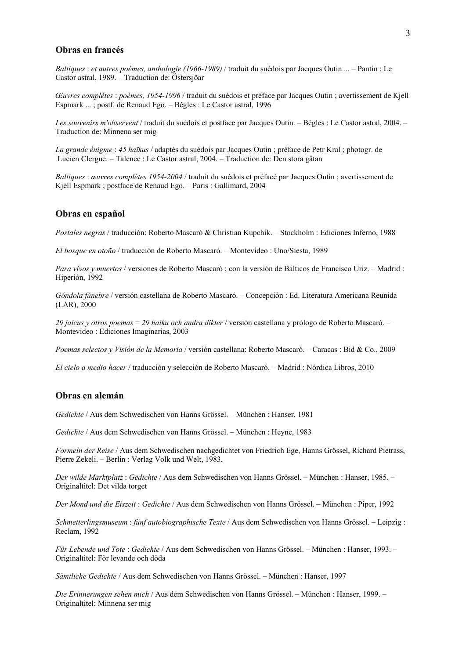## **Obras en francés**

*Baltiques* : *et autres poèmes, anthologie (1966-1989)* / traduit du suédois par Jacques Outin ... – Pantin : Le Castor astral, 1989. – Traduction de: Östersjöar

*Œuvres complètes* : *poèmes, 1954-1996* / traduit du suédois et préface par Jacques Outin ; avertissement de Kjell Espmark ... ; postf. de Renaud Ego. – Bègles : Le Castor astral, 1996

*Les souvenirs m'observent* / traduit du suédois et postface par Jacques Outin. – Bègles : Le Castor astral, 2004. – Traduction de: Minnena ser mig

*La grande énigme* : *45 haïkus* / adaptés du suédois par Jacques Outin ; préface de Petr Kral ; photogr. de Lucien Clergue. – Talence : Le Castor astral, 2004. – Traduction de: Den stora gåtan

*Baltiques* : *œuvres complètes 1954-2004* / traduit du suédois et préfacé par Jacques Outin ; avertissement de Kjell Espmark ; postface de Renaud Ego. – Paris : Gallimard, 2004

### **Obras en español**

*Postales negras* / traducción: Roberto Mascaró & Christian Kupchik. – Stockholm : Ediciones Inferno, 1988

*El bosque en otoño* / traducción de Roberto Mascaró. – Montevideo : Uno/Siesta, 1989

*Para vivos y muertos* / versiones de Roberto Mascaró ; con la versión de Bálticos de Francisco Uriz. – Madrid : Hiperión, 1992

*Góndola fúnebre* / versión castellana de Roberto Mascaró. – Concepción : Ed. Literatura Americana Reunida (LAR), 2000

*29 jaicus y otros poemas* = *29 haiku och andra dikter* / versión castellana y prólogo de Roberto Mascaró. – Montevideo : Ediciones Imaginarias, 2003

*Poemas selectos y Visión de la Memoria* / versión castellana: Roberto Mascaró. – Caracas : Bid & Co., 2009

*El cielo a medio hacer* / traducción y selección de Roberto Mascaró. – Madrid : Nórdica Libros, 2010

## **Obras en alemán**

*Gedichte* / Aus dem Schwedischen von Hanns Grössel. – München : Hanser, 1981

*Gedichte* / Aus dem Schwedischen von Hanns Grössel. – München : Heyne, 1983

*Formeln der Reise* / Aus dem Schwedischen nachgedichtet von Friedrich Ege, Hanns Grössel, Richard Pietrass, Pierre Zekeli. – Berlin : Verlag Volk und Welt, 1983.

*Der wilde Marktplatz* : *Gedichte* / Aus dem Schwedischen von Hanns Grössel. – München : Hanser, 1985. – Originaltitel: Det vilda torget

*Der Mond und die Eiszeit* : *Gedichte* / Aus dem Schwedischen von Hanns Grössel. – München : Piper, 1992

*Schmetterlingsmuseum* : *fünf autobiographische Texte* / Aus dem Schwedischen von Hanns Grössel. – Leipzig : Reclam, 1992

*Für Lebende und Tote* : *Gedichte* / Aus dem Schwedischen von Hanns Grössel. – München : Hanser, 1993. – Originaltitel: För levande och döda

*Sämtliche Gedichte* / Aus dem Schwedischen von Hanns Grössel. – München : Hanser, 1997

*Die Erinnerungen sehen mich* / Aus dem Schwedischen von Hanns Grössel. – München : Hanser, 1999. – Originaltitel: Minnena ser mig